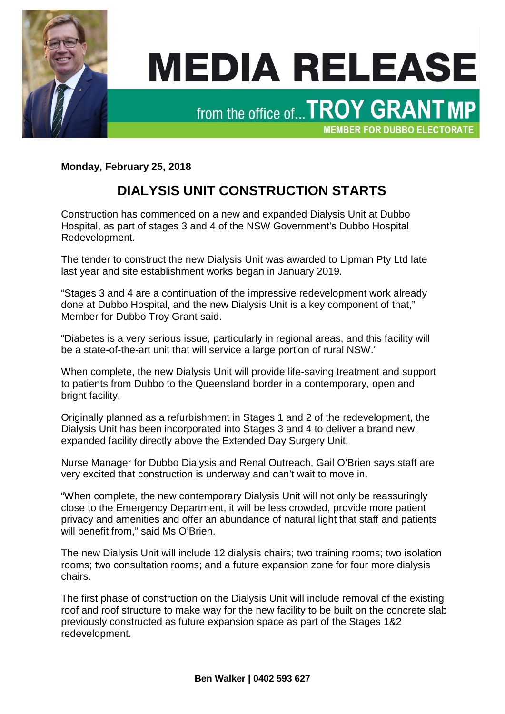

## **MEDIA RELEASE**

from the office of... TROY GRANT MP

**MEMBER FOR DUBBO ELECTORATE** 

**Monday, February 25, 2018**

## **DIALYSIS UNIT CONSTRUCTION STARTS**

Construction has commenced on a new and expanded Dialysis Unit at Dubbo Hospital, as part of stages 3 and 4 of the NSW Government's Dubbo Hospital Redevelopment.

The tender to construct the new Dialysis Unit was awarded to Lipman Pty Ltd late last year and site establishment works began in January 2019.

"Stages 3 and 4 are a continuation of the impressive redevelopment work already done at Dubbo Hospital, and the new Dialysis Unit is a key component of that," Member for Dubbo Troy Grant said.

"Diabetes is a very serious issue, particularly in regional areas, and this facility will be a state-of-the-art unit that will service a large portion of rural NSW."

When complete, the new Dialysis Unit will provide life-saving treatment and support to patients from Dubbo to the Queensland border in a contemporary, open and bright facility.

Originally planned as a refurbishment in Stages 1 and 2 of the redevelopment, the Dialysis Unit has been incorporated into Stages 3 and 4 to deliver a brand new, expanded facility directly above the Extended Day Surgery Unit.

Nurse Manager for Dubbo Dialysis and Renal Outreach, Gail O'Brien says staff are very excited that construction is underway and can't wait to move in.

"When complete, the new contemporary Dialysis Unit will not only be reassuringly close to the Emergency Department, it will be less crowded, provide more patient privacy and amenities and offer an abundance of natural light that staff and patients will benefit from," said Ms O'Brien.

The new Dialysis Unit will include 12 dialysis chairs; two training rooms; two isolation rooms; two consultation rooms; and a future expansion zone for four more dialysis chairs.

The first phase of construction on the Dialysis Unit will include removal of the existing roof and roof structure to make way for the new facility to be built on the concrete slab previously constructed as future expansion space as part of the Stages 1&2 redevelopment.